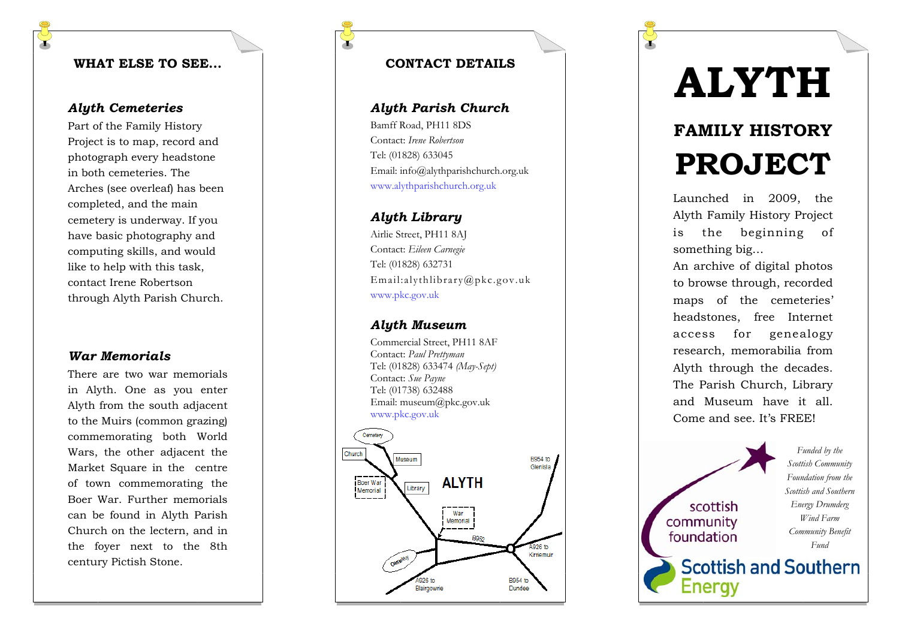### **WHAT ELSE TO SEE...**

# *Alyth Cemeteries*

Part of the Family History Project is to map, record and photograph every headstone in both cemeteries. The Arches (see overleaf) has been completed, and the main cemetery is underway. If you have basic photography and computing skills, and would like to help with this task, contact Irene Robertson through Alyth Parish Church.

#### *War Memorials*

There are two war memorials in Alyth. One as you enter Alyth from the south adjacent to the Muirs (common grazing) commemorating both World Wars, the other adjacent the Market Square in the centre of town commemorating the Boer War. Further memorials can be found in Alyth Parish Church on the lectern, and in the foyer next to the 8th century Pictish Stone.

# **CONTACT DETAILS**

#### *Alyth Parish Church*

Bamff Road, PH11 8DS Contact: *Irene Robertson* Tel: (01828) 633045 Email: info@alythparishchurch.org.uk www.alythparishchurch.org.uk

#### *Alyth Library*

Airlie Street, PH11 8AJ Contact: *Eileen Carnegie* Tel: (01828) 632731 Email:alythlibrary@pkc.gov.uk www.pkc.gov.uk

#### *Alyth Museum*

Commercial Street, PH11 8AF Contact: *Paul Prettyman*  Tel: (01828) 633474 *(May-Sept)*  Contact: *Sue Payne* Tel: (01738) 632488 Email: museum@pkc.gov.uk www.pkc.gov.uk



# **ALYTH**

# **FAMILY HISTORY PROJECT**

Launched in 2009, the Alyth Family History Project is the beginning of something big…

An archive of digital photos to browse through, recorded maps of the cemeteries' headstones, free Internet access for genealogy research, memorabilia from Alyth through the decades. The Parish Church, Library and Museum have it all. Come and see. It's FREE!